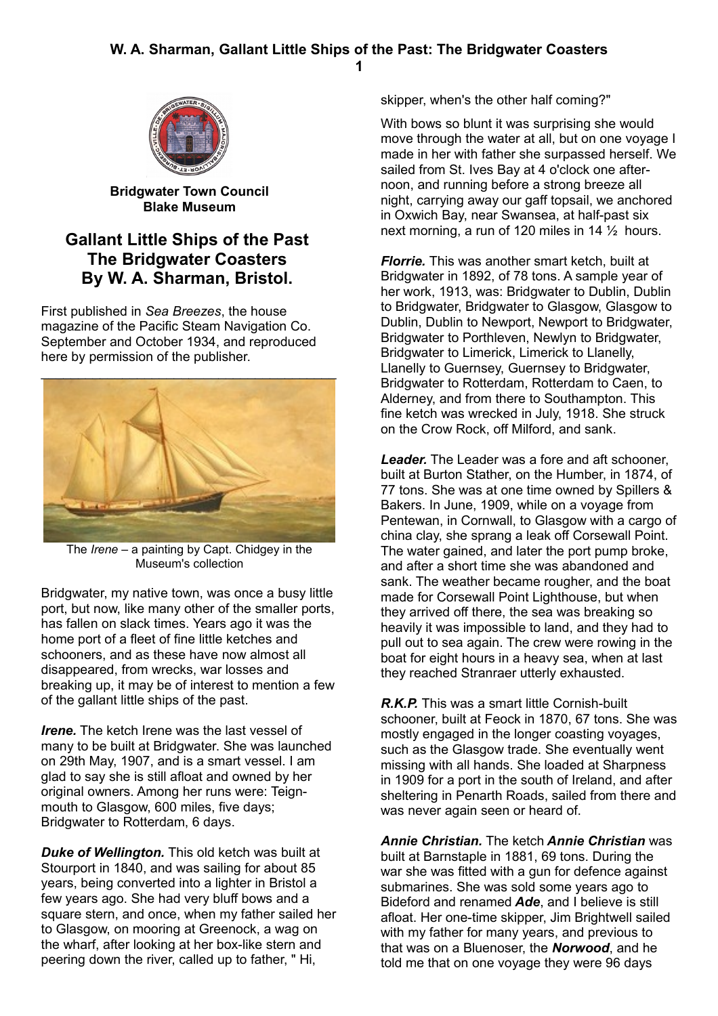## **W. A. Sharman, Gallant Little Ships of the Past: The Bridgwater Coasters 1**





**Bridgwater Town Council Blake Museum**

## **Gallant Little Ships of the Past The Bridgwater Coasters By W. A. Sharman, Bristol.**

First published in *Sea Breezes*, the house magazine of the Pacific Steam Navigation Co. September and October 1934, and reproduced here by permission of the publisher.



The *Irene –* a painting by Capt. Chidgey in the Museum's collection

Bridgwater, my native town, was once a busy little port, but now, like many other of the smaller ports, has fallen on slack times. Years ago it was the home port of a fleet of fine little ketches and schooners, and as these have now almost all disappeared, from wrecks, war losses and breaking up, it may be of interest to mention a few of the gallant little ships of the past.

*Irene.* The ketch Irene was the last vessel of many to be built at Bridgwater. She was launched on 29th May, 1907, and is a smart vessel. I am glad to say she is still afloat and owned by her original owners. Among her runs were: Teignmouth to Glasgow, 600 miles, five days; Bridgwater to Rotterdam, 6 days.

*Duke of Wellington.* This old ketch was built at Stourport in 1840, and was sailing for about 85 years, being converted into a lighter in Bristol a few years ago. She had very bluff bows and a square stern, and once, when my father sailed her to Glasgow, on mooring at Greenock, a wag on the wharf, after looking at her box-like stern and peering down the river, called up to father, " Hi,

skipper, when's the other half coming?"

With bows so blunt it was surprising she would move through the water at all, but on one voyage I made in her with father she surpassed herself. We sailed from St. Ives Bay at 4 o'clock one afternoon, and running before a strong breeze all night, carrying away our gaff topsail, we anchored in Oxwich Bay, near Swansea, at half-past six next morning, a run of 120 miles in 14 ½ hours.

*Florrie.* This was another smart ketch, built at Bridgwater in 1892, of 78 tons. A sample year of her work, 1913, was: Bridgwater to Dublin, Dublin to Bridgwater, Bridgwater to Glasgow, Glasgow to Dublin, Dublin to Newport, Newport to Bridgwater, Bridgwater to Porthleven, Newlyn to Bridgwater, Bridgwater to Limerick, Limerick to Llanelly, Llanelly to Guernsey, Guernsey to Bridgwater, Bridgwater to Rotterdam, Rotterdam to Caen, to Alderney, and from there to Southampton. This fine ketch was wrecked in July, 1918. She struck on the Crow Rock, off Milford, and sank.

*Leader.* The Leader was a fore and aft schooner, built at Burton Stather, on the Humber, in 1874, of 77 tons. She was at one time owned by Spillers & Bakers. In June, 1909, while on a voyage from Pentewan, in Cornwall, to Glasgow with a cargo of china clay, she sprang a leak off Corsewall Point. The water gained, and later the port pump broke. and after a short time she was abandoned and sank. The weather became rougher, and the boat made for Corsewall Point Lighthouse, but when they arrived off there, the sea was breaking so heavily it was impossible to land, and they had to pull out to sea again. The crew were rowing in the boat for eight hours in a heavy sea, when at last they reached Stranraer utterly exhausted.

*R.K.P.* This was a smart little Cornish-built schooner, built at Feock in 1870, 67 tons. She was mostly engaged in the longer coasting voyages, such as the Glasgow trade. She eventually went missing with all hands. She loaded at Sharpness in 1909 for a port in the south of Ireland, and after sheltering in Penarth Roads, sailed from there and was never again seen or heard of.

*Annie Christian.* The ketch *Annie Christian* was built at Barnstaple in 1881, 69 tons. During the war she was fitted with a gun for defence against submarines. She was sold some years ago to Bideford and renamed *Ade*, and I believe is still afloat. Her one-time skipper, Jim Brightwell sailed with my father for many years, and previous to that was on a Bluenoser, the *Norwood*, and he told me that on one voyage they were 96 days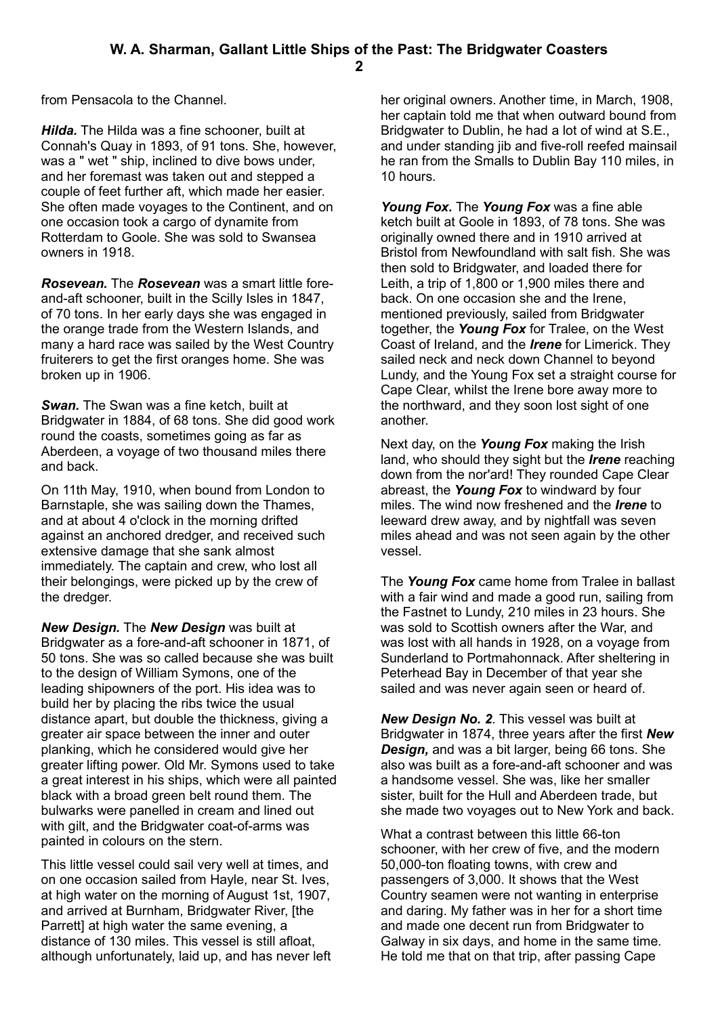**2**

from Pensacola to the Channel.

*Hilda.* The Hilda was a fine schooner, built at Connah's Quay in 1893, of 91 tons. She, however, was a " wet " ship, inclined to dive bows under, and her foremast was taken out and stepped a couple of feet further aft, which made her easier. She often made voyages to the Continent, and on one occasion took a cargo of dynamite from Rotterdam to Goole. She was sold to Swansea owners in 1918.

*Rosevean.* The *Rosevean* was a smart little foreand-aft schooner, built in the Scilly Isles in 1847, of 70 tons. In her early days she was engaged in the orange trade from the Western Islands, and many a hard race was sailed by the West Country fruiterers to get the first oranges home. She was broken up in 1906.

*Swan.* The Swan was a fine ketch, built at Bridgwater in 1884, of 68 tons. She did good work round the coasts, sometimes going as far as Aberdeen, a voyage of two thousand miles there and back.

On 11th May, 1910, when bound from London to Barnstaple, she was sailing down the Thames, and at about 4 o'clock in the morning drifted against an anchored dredger, and received such extensive damage that she sank almost immediately. The captain and crew, who lost all their belongings, were picked up by the crew of the dredger.

*New Design.* The *New Design* was built at Bridgwater as a fore-and-aft schooner in 1871, of 50 tons. She was so called because she was built to the design of William Symons, one of the leading shipowners of the port. His idea was to build her by placing the ribs twice the usual distance apart, but double the thickness, giving a greater air space between the inner and outer planking, which he considered would give her greater lifting power. Old Mr. Symons used to take a great interest in his ships, which were all painted black with a broad green belt round them. The bulwarks were panelled in cream and lined out with gilt, and the Bridgwater coat-of-arms was painted in colours on the stern.

This little vessel could sail very well at times, and on one occasion sailed from Hayle, near St. Ives, at high water on the morning of August 1st, 1907, and arrived at Burnham, Bridgwater River, [the Parrett] at high water the same evening, a distance of 130 miles. This vessel is still afloat, although unfortunately, laid up, and has never left her original owners. Another time, in March, 1908, her captain told me that when outward bound from Bridgwater to Dublin, he had a lot of wind at S.E., and under standing jib and five-roll reefed mainsail he ran from the Smalls to Dublin Bay 110 miles, in 10 hours.

*Young Fox.* The *Young Fox* was a fine able ketch built at Goole in 1893, of 78 tons. She was originally owned there and in 1910 arrived at Bristol from Newfoundland with salt fish. She was then sold to Bridgwater, and loaded there for Leith, a trip of 1,800 or 1,900 miles there and back. On one occasion she and the Irene, mentioned previously, sailed from Bridgwater together, the *Young Fox* for Tralee, on the West Coast of Ireland, and the *Irene* for Limerick. They sailed neck and neck down Channel to beyond Lundy, and the Young Fox set a straight course for Cape Clear, whilst the Irene bore away more to the northward, and they soon lost sight of one another.

Next day, on the *Young Fox* making the Irish land, who should they sight but the *Irene* reaching down from the nor'ard! They rounded Cape Clear abreast, the *Young Fox* to windward by four miles. The wind now freshened and the *Irene* to leeward drew away, and by nightfall was seven miles ahead and was not seen again by the other vessel.

The *Young Fox* came home from Tralee in ballast with a fair wind and made a good run, sailing from the Fastnet to Lundy, 210 miles in 23 hours. She was sold to Scottish owners after the War, and was lost with all hands in 1928, on a voyage from Sunderland to Portmahonnack. After sheltering in Peterhead Bay in December of that year she sailed and was never again seen or heard of.

*New Design No. 2*. This vessel was built at Bridgwater in 1874, three years after the first *New Design,* and was a bit larger, being 66 tons. She also was built as a fore-and-aft schooner and was a handsome vessel. She was, like her smaller sister, built for the Hull and Aberdeen trade, but she made two voyages out to New York and back.

What a contrast between this little 66-ton schooner, with her crew of five, and the modern 50,000-ton floating towns, with crew and passengers of 3,000. It shows that the West Country seamen were not wanting in enterprise and daring. My father was in her for a short time and made one decent run from Bridgwater to Galway in six days, and home in the same time. He told me that on that trip, after passing Cape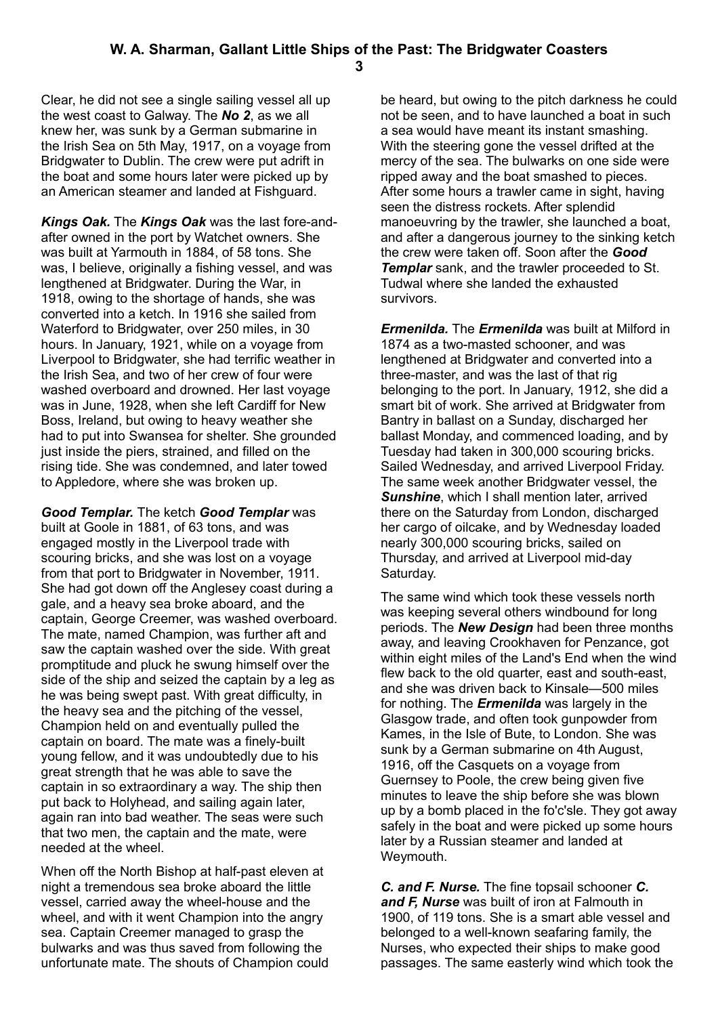Clear, he did not see a single sailing vessel all up the west coast to Galway. The *No 2*, as we all knew her, was sunk by a German submarine in the Irish Sea on 5th May, 1917, on a voyage from Bridgwater to Dublin. The crew were put adrift in the boat and some hours later were picked up by an American steamer and landed at Fishguard.

*Kings Oak.* The *Kings Oak* was the last fore-andafter owned in the port by Watchet owners. She was built at Yarmouth in 1884, of 58 tons. She was, I believe, originally a fishing vessel, and was lengthened at Bridgwater. During the War, in 1918, owing to the shortage of hands, she was converted into a ketch. In 1916 she sailed from Waterford to Bridgwater, over 250 miles, in 30 hours. In January, 1921, while on a voyage from Liverpool to Bridgwater, she had terrific weather in the Irish Sea, and two of her crew of four were washed overboard and drowned. Her last voyage was in June, 1928, when she left Cardiff for New Boss, Ireland, but owing to heavy weather she had to put into Swansea for shelter. She grounded just inside the piers, strained, and filled on the rising tide. She was condemned, and later towed to Appledore, where she was broken up.

*Good Templar.* The ketch *Good Templar* was built at Goole in 1881, of 63 tons, and was engaged mostly in the Liverpool trade with scouring bricks, and she was lost on a voyage from that port to Bridgwater in November, 1911. She had got down off the Anglesey coast during a gale, and a heavy sea broke aboard, and the captain, George Creemer, was washed overboard. The mate, named Champion, was further aft and saw the captain washed over the side. With great promptitude and pluck he swung himself over the side of the ship and seized the captain by a leg as he was being swept past. With great difficulty, in the heavy sea and the pitching of the vessel, Champion held on and eventually pulled the captain on board. The mate was a finely-built young fellow, and it was undoubtedly due to his great strength that he was able to save the captain in so extraordinary a way. The ship then put back to Holyhead, and sailing again later, again ran into bad weather. The seas were such that two men, the captain and the mate, were needed at the wheel.

When off the North Bishop at half-past eleven at night a tremendous sea broke aboard the little vessel, carried away the wheel-house and the wheel, and with it went Champion into the angry sea. Captain Creemer managed to grasp the bulwarks and was thus saved from following the unfortunate mate. The shouts of Champion could be heard, but owing to the pitch darkness he could not be seen, and to have launched a boat in such a sea would have meant its instant smashing. With the steering gone the vessel drifted at the mercy of the sea. The bulwarks on one side were ripped away and the boat smashed to pieces. After some hours a trawler came in sight, having seen the distress rockets. After splendid manoeuvring by the trawler, she launched a boat, and after a dangerous journey to the sinking ketch the crew were taken off. Soon after the *Good Templar* sank, and the trawler proceeded to St. Tudwal where she landed the exhausted survivors.

*Ermenilda.* The *Ermenilda* was built at Milford in 1874 as a two-masted schooner, and was lengthened at Bridgwater and converted into a three-master, and was the last of that rig belonging to the port. In January, 1912, she did a smart bit of work. She arrived at Bridgwater from Bantry in ballast on a Sunday, discharged her ballast Monday, and commenced loading, and by Tuesday had taken in 300,000 scouring bricks. Sailed Wednesday, and arrived Liverpool Friday. The same week another Bridgwater vessel, the *Sunshine*, which I shall mention later, arrived there on the Saturday from London, discharged her cargo of oilcake, and by Wednesday loaded nearly 300,000 scouring bricks, sailed on Thursday, and arrived at Liverpool mid-day Saturday.

The same wind which took these vessels north was keeping several others windbound for long periods. The *New Design* had been three months away, and leaving Crookhaven for Penzance, got within eight miles of the Land's End when the wind flew back to the old quarter, east and south-east, and she was driven back to Kinsale—500 miles for nothing. The *Ermenilda* was largely in the Glasgow trade, and often took gunpowder from Kames, in the Isle of Bute, to London. She was sunk by a German submarine on 4th August, 1916, off the Casquets on a voyage from Guernsey to Poole, the crew being given five minutes to leave the ship before she was blown up by a bomb placed in the fo'c'sle. They got away safely in the boat and were picked up some hours later by a Russian steamer and landed at Weymouth.

*C. and F. Nurse.* The fine topsail schooner *C. and F, Nurse* was built of iron at Falmouth in 1900, of 119 tons. She is a smart able vessel and belonged to a well-known seafaring family, the Nurses, who expected their ships to make good passages. The same easterly wind which took the